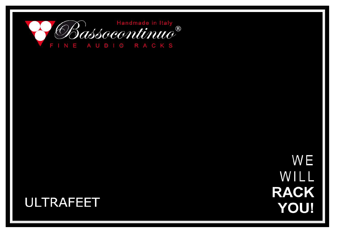

## ULTRAFEET

WE WILL **RACK YOU!**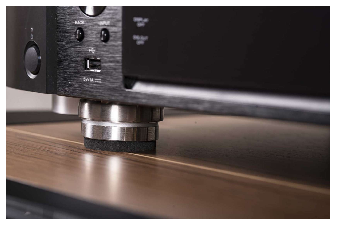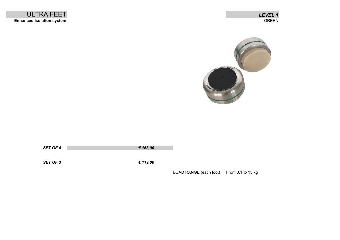



| <b>SET OF 4</b> | € 153,00               |                   |
|-----------------|------------------------|-------------------|
| SET OF 3        | € 119,00               |                   |
|                 | LOAD RANGE (each foot) | From 0,1 to 15 kg |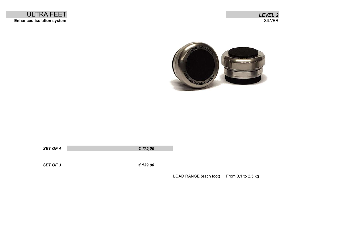

*SET OF 4 € 175,00 SET OF 3 € 139,00* From 0,1 to 2,5 kg LOAD RANGE (each foot)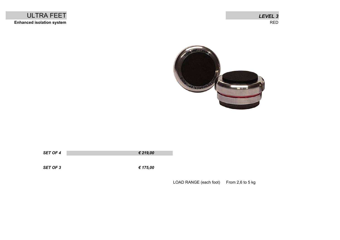



*SET OF 4 € 219,00 SET OF 3 € 175,00*

From 2,6 to 5 kg LOAD RANGE (each foot)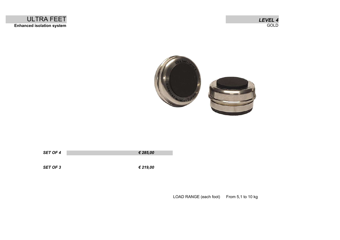





*SET OF 4 € 285,00*

*SET OF 3 € 219,00*

From 5,1 to 10 kg LOAD RANGE (each foot)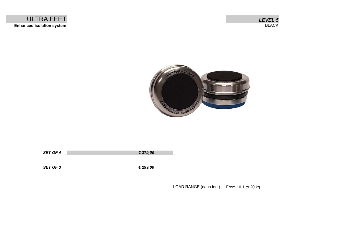







From 10,1 to 20 kg LOAD RANGE (each foot)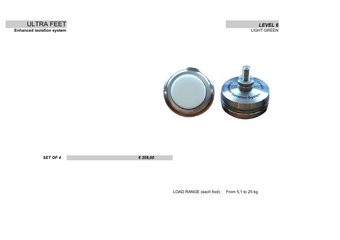



## *SET OF 4 € 359,00*

From 5,1 to 25 kg LOAD RANGE (each foot)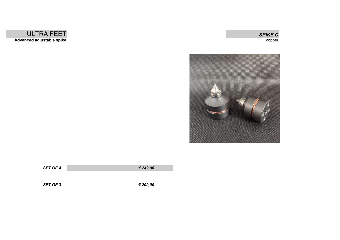





*SET OF 4 € 249,00*

*SET OF 3 € 209,00*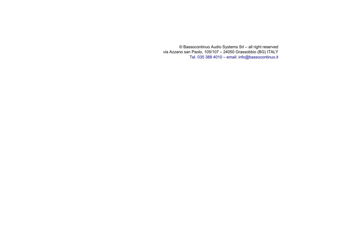via Azzano san Paolo, 105/107 – 24050 Grassobbio (BG) ITALY © Bassocontinuo Audio Systems Srl – all right reserved [Tel. 035 388 4010 – email: info@bassocontinuo.it](mailto:info@bassocontinuo.it)